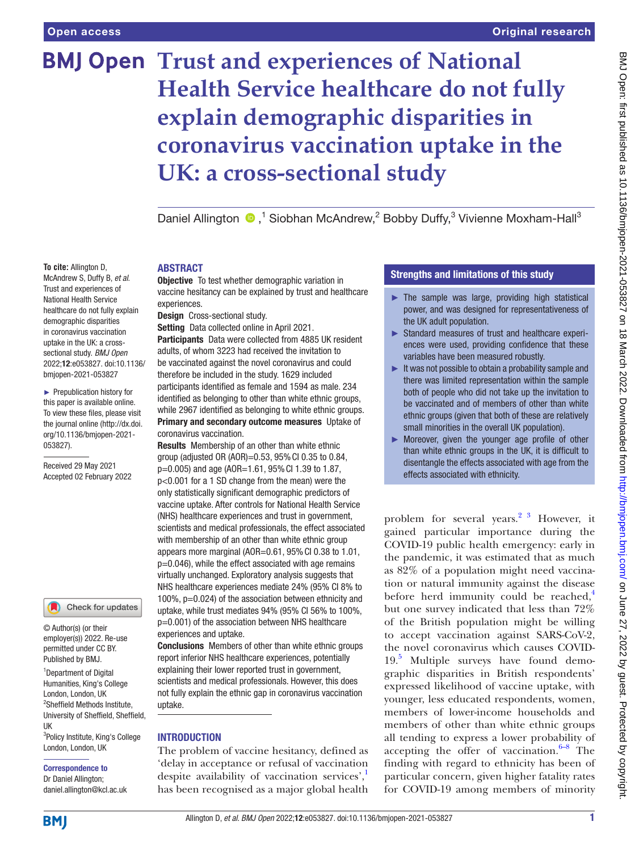**To cite:** Allington D, McAndrew S, Duffy B, *et al*. Trust and experiences of National Health Service healthcare do not fully explain demographic disparities in coronavirus vaccination uptake in the UK: a crosssectional study. *BMJ Open* 2022;12:e053827. doi:10.1136/ bmjopen-2021-053827 ► Prepublication history for this paper is available online. To view these files, please visit the journal online [\(http://dx.doi.](http://dx.doi.org/10.1136/bmjopen-2021-053827) [org/10.1136/bmjopen-2021-](http://dx.doi.org/10.1136/bmjopen-2021-053827)

[053827\)](http://dx.doi.org/10.1136/bmjopen-2021-053827).

Received 29 May 2021 Accepted 02 February 2022

# **BMJ Open Trust and experiences of National Health Service healthcare do not fully explain demographic disparities in coronavirus vaccination uptake in the UK: a cross-sectional study**

DanielAllington <sup>®</sup>,<sup>1</sup> Siobhan McAndrew,<sup>2</sup> Bobby Duffy,<sup>3</sup> Vivienne Moxham-Hall<sup>3</sup>

### ABSTRACT

**Objective** To test whether demographic variation in vaccine hesitancy can be explained by trust and healthcare experiences.

Design Cross-sectional study.

Setting Data collected online in April 2021.

Participants Data were collected from 4885 UK resident adults, of whom 3223 had received the invitation to be vaccinated against the novel coronavirus and could therefore be included in the study. 1629 included participants identified as female and 1594 as male. 234 identified as belonging to other than white ethnic groups, while 2967 identified as belonging to white ethnic groups. Primary and secondary outcome measures Uptake of coronavirus vaccination.

Results Membership of an other than white ethnic group (adjusted OR (AOR)=0.53, 95%CI 0.35 to 0.84, p=0.005) and age (AOR=1.61, 95%CI 1.39 to 1.87, p<0.001 for a 1 SD change from the mean) were the only statistically significant demographic predictors of vaccine uptake. After controls for National Health Service (NHS) healthcare experiences and trust in government, scientists and medical professionals, the effect associated with membership of an other than white ethnic group appears more marginal (AOR= $0.61$ ,  $95\%$  CI 0.38 to 1.01, p=0.046), while the effect associated with age remains virtually unchanged. Exploratory analysis suggests that NHS healthcare experiences mediate 24% (95% CI 8% to 100%, p=0.024) of the association between ethnicity and uptake, while trust mediates 94% (95% CI 56% to 100%, p=0.001) of the association between NHS healthcare experiences and uptake.

Conclusions Members of other than white ethnic groups report inferior NHS healthcare experiences, potentially explaining their lower reported trust in government, scientists and medical professionals. However, this does not fully explain the ethnic gap in coronavirus vaccination uptake.

#### INTRODUCTION

The problem of vaccine hesitancy, defined as 'delay in acceptance or refusal of vaccination despite availability of vaccination services',<sup>[1](#page-8-0)</sup> has been recognised as a major global health

# Strengths and limitations of this study

- $\blacktriangleright$  The sample was large, providing high statistical power, and was designed for representativeness of the UK adult population.
- ► Standard measures of trust and healthcare experiences were used, providing confidence that these variables have been measured robustly.
- $\blacktriangleright$  It was not possible to obtain a probability sample and there was limited representation within the sample both of people who did not take up the invitation to be vaccinated and of members of other than white ethnic groups (given that both of these are relatively small minorities in the overall UK population).
- ► Moreover, given the younger age profile of other than white ethnic groups in the UK, it is difficult to disentangle the effects associated with age from the effects associated with ethnicity.

problem for several years.<sup>2</sup> <sup>3</sup> However, it gained particular importance during the COVID-19 public health emergency: early in the pandemic, it was estimated that as much as 82% of a population might need vaccination or natural immunity against the disease before herd immunity could be reached, $4$ but one survey indicated that less than 72% of the British population might be willing to accept vaccination against SARS-CoV-2, the novel coronavirus which causes COVID-19.[5](#page-8-3) Multiple surveys have found demographic disparities in British respondents' expressed likelihood of vaccine uptake, with younger, less educated respondents, women, members of lower-income households and members of other than white ethnic groups all tending to express a lower probability of accepting the offer of vaccination. $6-8$  The finding with regard to ethnicity has been of particular concern, given higher fatality rates for COVID-19 among members of minority

# daniel.allington@kcl.ac.uk

UK

**BMI** 

<sup>1</sup>Department of Digital Humanities, King's College London, London, UK 2 Sheffield Methods Institute, University of Sheffield, Sheffield,

© Author(s) (or their employer(s)) 2022. Re-use permitted under CC BY. Published by BMJ.

Check for updates

<sup>3</sup>Policy Institute, King's College London, London, UK Correspondence to Dr Daniel Allington;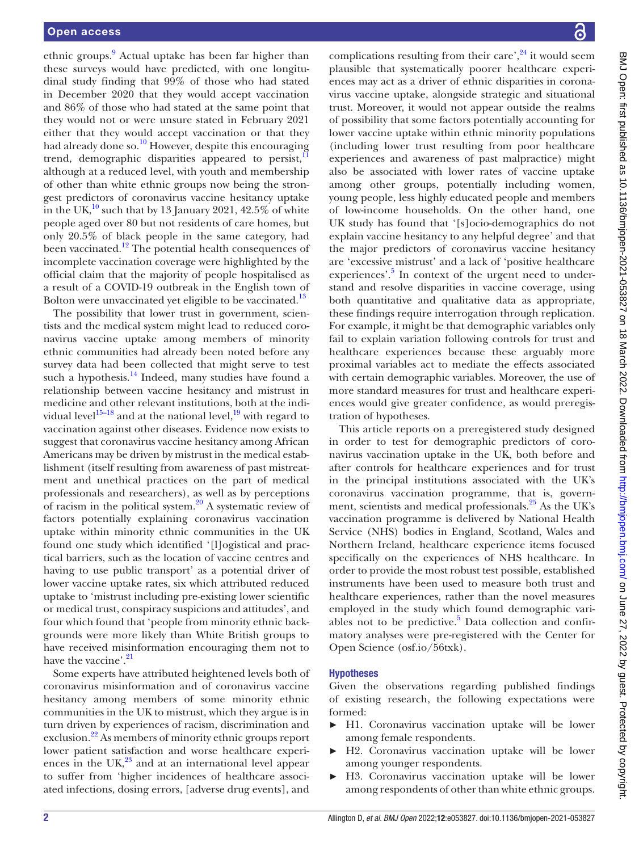ethnic groups.<sup>9</sup> Actual uptake has been far higher than these surveys would have predicted, with one longitudinal study finding that 99% of those who had stated in December 2020 that they would accept vaccination and 86% of those who had stated at the same point that they would not or were unsure stated in February 2021 either that they would accept vaccination or that they had already done so.<sup>10</sup> However, despite this encouraging trend, demographic disparities appeared to persist, $\frac{1}{1}$ although at a reduced level, with youth and membership of other than white ethnic groups now being the strongest predictors of coronavirus vaccine hesitancy uptake in the UK, $^{10}$  $^{10}$  $^{10}$  such that by 13 January 2021, 42.5% of white people aged over 80 but not residents of care homes, but only 20.5% of black people in the same category, had been vaccinated.<sup>12</sup> The potential health consequences of incomplete vaccination coverage were highlighted by the official claim that the majority of people hospitalised as a result of a COVID-19 outbreak in the English town of Bolton were unvaccinated yet eligible to be vaccinated.<sup>13</sup>

The possibility that lower trust in government, scientists and the medical system might lead to reduced coronavirus vaccine uptake among members of minority ethnic communities had already been noted before any survey data had been collected that might serve to test such a hypothesis. $^{14}$  Indeed, many studies have found a relationship between vaccine hesitancy and mistrust in medicine and other relevant institutions, both at the individual level<sup>15–18</sup> and at the national level,<sup>19</sup> with regard to vaccination against other diseases. Evidence now exists to suggest that coronavirus vaccine hesitancy among African Americans may be driven by mistrust in the medical establishment (itself resulting from awareness of past mistreatment and unethical practices on the part of medical professionals and researchers), as well as by perceptions of racism in the political system. $20$  A systematic review of factors potentially explaining coronavirus vaccination uptake within minority ethnic communities in the UK found one study which identified '[l]ogistical and practical barriers, such as the location of vaccine centres and having to use public transport' as a potential driver of lower vaccine uptake rates, six which attributed reduced uptake to 'mistrust including pre-existing lower scientific or medical trust, conspiracy suspicions and attitudes', and four which found that 'people from minority ethnic backgrounds were more likely than White British groups to have received misinformation encouraging them not to have the vaccine'.<sup>[21](#page-9-5)</sup>

Some experts have attributed heightened levels both of coronavirus misinformation and of coronavirus vaccine hesitancy among members of some minority ethnic communities in the UK to mistrust, which they argue is in turn driven by experiences of racism, discrimination and exclusion.<sup>22</sup> As members of minority ethnic groups report lower patient satisfaction and worse healthcare experiences in the  $UK<sup>23</sup>$  $UK<sup>23</sup>$  $UK<sup>23</sup>$  and at an international level appear to suffer from 'higher incidences of healthcare associated infections, dosing errors, [adverse drug events], and

complications resulting from their care',  $24$  it would seem plausible that systematically poorer healthcare experiences may act as a driver of ethnic disparities in coronavirus vaccine uptake, alongside strategic and situational trust. Moreover, it would not appear outside the realms of possibility that some factors potentially accounting for lower vaccine uptake within ethnic minority populations (including lower trust resulting from poor healthcare experiences and awareness of past malpractice) might also be associated with lower rates of vaccine uptake among other groups, potentially including women, young people, less highly educated people and members of low-income households. On the other hand, one UK study has found that '[s]ocio-demographics do not explain vaccine hesitancy to any helpful degree' and that the major predictors of coronavirus vaccine hesitancy are 'excessive mistrust' and a lack of 'positive healthcare experiences'.<sup>[5](#page-8-3)</sup> In context of the urgent need to understand and resolve disparities in vaccine coverage, using both quantitative and qualitative data as appropriate, these findings require interrogation through replication. For example, it might be that demographic variables only fail to explain variation following controls for trust and healthcare experiences because these arguably more proximal variables act to mediate the effects associated with certain demographic variables. Moreover, the use of more standard measures for trust and healthcare experiences would give greater confidence, as would preregistration of hypotheses.

This article reports on a preregistered study designed in order to test for demographic predictors of coronavirus vaccination uptake in the UK, both before and after controls for healthcare experiences and for trust in the principal institutions associated with the UK's coronavirus vaccination programme, that is, govern-ment, scientists and medical professionals.<sup>[25](#page-9-9)</sup> As the UK's vaccination programme is delivered by National Health Service (NHS) bodies in England, Scotland, Wales and Northern Ireland, healthcare experience items focused specifically on the experiences of NHS healthcare. In order to provide the most robust test possible, established instruments have been used to measure both trust and healthcare experiences, rather than the novel measures employed in the study which found demographic vari-ables not to be predictive.<sup>[5](#page-8-3)</sup> Data collection and confirmatory analyses were pre-registered with the Center for Open Science ([osf.io/56txk\)](osf.io/56txk).

# Hypotheses

Given the observations regarding published findings of existing research, the following expectations were formed:

- ► H1. Coronavirus vaccination uptake will be lower among female respondents.
- ► H2. Coronavirus vaccination uptake will be lower among younger respondents.
- ► H3. Coronavirus vaccination uptake will be lower among respondents of other than white ethnic groups.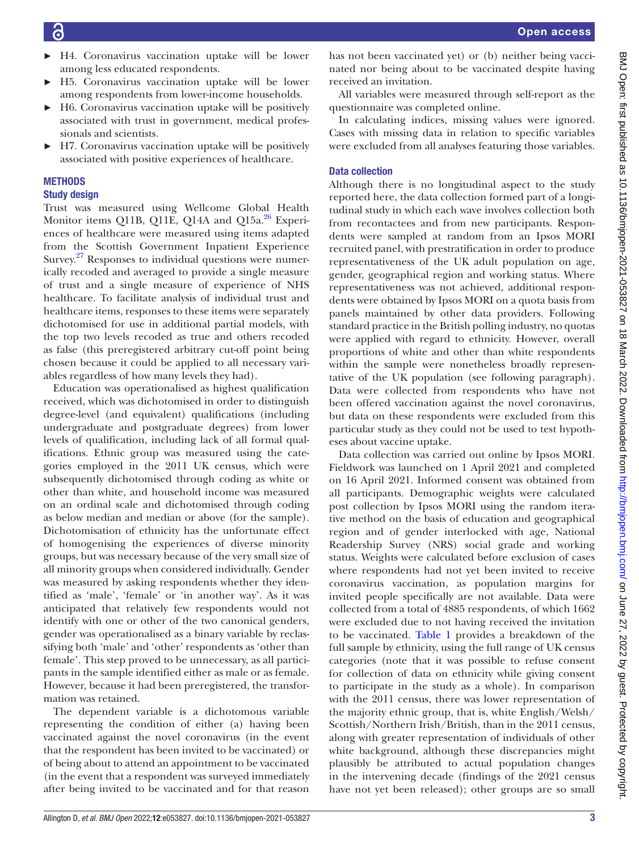- ► H4. Coronavirus vaccination uptake will be lower among less educated respondents.
- ► H5. Coronavirus vaccination uptake will be lower among respondents from lower-income households.
- ► H6. Coronavirus vaccination uptake will be positively associated with trust in government, medical professionals and scientists.
- ► H7. Coronavirus vaccination uptake will be positively associated with positive experiences of healthcare.

# METHODS

# Study design

Trust was measured using Wellcome Global Health Monitor items Q11B, Q11E, Q14A and Q15a. $^{26}$  Experiences of healthcare were measured using items adapted from the Scottish Government Inpatient Experience Survey. $27$  Responses to individual questions were numerically recoded and averaged to provide a single measure of trust and a single measure of experience of NHS healthcare. To facilitate analysis of individual trust and healthcare items, responses to these items were separately dichotomised for use in additional partial models, with the top two levels recoded as true and others recoded as false (this preregistered arbitrary cut-off point being chosen because it could be applied to all necessary variables regardless of how many levels they had).

Education was operationalised as highest qualification received, which was dichotomised in order to distinguish degree-level (and equivalent) qualifications (including undergraduate and postgraduate degrees) from lower levels of qualification, including lack of all formal qualifications. Ethnic group was measured using the categories employed in the 2011 UK census, which were subsequently dichotomised through coding as white or other than white, and household income was measured on an ordinal scale and dichotomised through coding as below median and median or above (for the sample). Dichotomisation of ethnicity has the unfortunate effect of homogenising the experiences of diverse minority groups, but was necessary because of the very small size of all minority groups when considered individually. Gender was measured by asking respondents whether they identified as 'male', 'female' or 'in another way'. As it was anticipated that relatively few respondents would not identify with one or other of the two canonical genders, gender was operationalised as a binary variable by reclassifying both 'male' and 'other' respondents as 'other than female'. This step proved to be unnecessary, as all participants in the sample identified either as male or as female. However, because it had been preregistered, the transformation was retained.

The dependent variable is a dichotomous variable representing the condition of either (a) having been vaccinated against the novel coronavirus (in the event that the respondent has been invited to be vaccinated) or of being about to attend an appointment to be vaccinated (in the event that a respondent was surveyed immediately after being invited to be vaccinated and for that reason

has not been vaccinated yet) or (b) neither being vaccinated nor being about to be vaccinated despite having received an invitation.

All variables were measured through self-report as the questionnaire was completed online.

In calculating indices, missing values were ignored. Cases with missing data in relation to specific variables were excluded from all analyses featuring those variables.

# Data collection

Although there is no longitudinal aspect to the study reported here, the data collection formed part of a longitudinal study in which each wave involves collection both from recontactees and from new participants. Respondents were sampled at random from an Ipsos MORI recruited panel, with prestratification in order to produce representativeness of the UK adult population on age, gender, geographical region and working status. Where representativeness was not achieved, additional respondents were obtained by Ipsos MORI on a quota basis from panels maintained by other data providers. Following standard practice in the British polling industry, no quotas were applied with regard to ethnicity. However, overall proportions of white and other than white respondents within the sample were nonetheless broadly representative of the UK population (see following paragraph). Data were collected from respondents who have not been offered vaccination against the novel coronavirus, but data on these respondents were excluded from this particular study as they could not be used to test hypotheses about vaccine uptake.

Data collection was carried out online by Ipsos MORI. Fieldwork was launched on 1 April 2021 and completed on 16 April 2021. Informed consent was obtained from all participants. Demographic weights were calculated post collection by Ipsos MORI using the random iterative method on the basis of education and geographical region and of gender interlocked with age, National Readership Survey (NRS) social grade and working status. Weights were calculated before exclusion of cases where respondents had not yet been invited to receive coronavirus vaccination, as population margins for invited people specifically are not available. Data were collected from a total of 4885 respondents, of which 1662 were excluded due to not having received the invitation to be vaccinated. [Table](#page-3-0) 1 provides a breakdown of the full sample by ethnicity, using the full range of UK census categories (note that it was possible to refuse consent for collection of data on ethnicity while giving consent to participate in the study as a whole). In comparison with the 2011 census, there was lower representation of the majority ethnic group, that is, white English/Welsh/ Scottish/Northern Irish/British, than in the 2011 census, along with greater representation of individuals of other white background, although these discrepancies might plausibly be attributed to actual population changes in the intervening decade (findings of the 2021 census have not yet been released); other groups are so small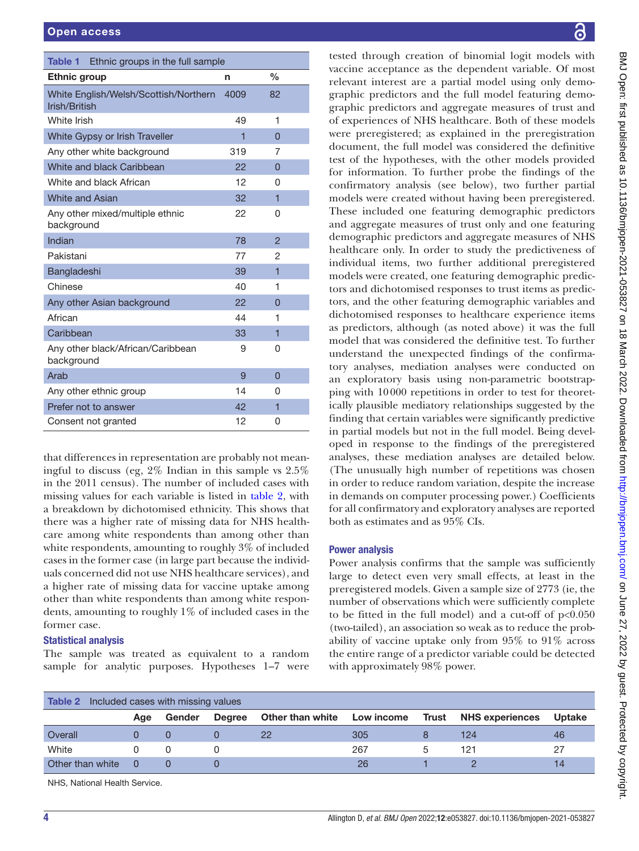<span id="page-3-0"></span>

| Ethnic groups in the full sample<br>Table 1            |      |                |
|--------------------------------------------------------|------|----------------|
| <b>Ethnic group</b>                                    | n    | $\frac{0}{0}$  |
| White English/Welsh/Scottish/Northern<br>Irish/British | 4009 | 82             |
| White Irish                                            | 49   | 1              |
| White Gypsy or Irish Traveller                         | 1    | $\Omega$       |
| Any other white background                             | 319  | 7              |
| White and black Caribbean                              | 22   | 0              |
| White and black African                                | 12   | 0              |
| <b>White and Asian</b>                                 | 32   | $\overline{1}$ |
| Any other mixed/multiple ethnic<br>background          | 22   | 0              |
| Indian                                                 | 78   | $\overline{c}$ |
| Pakistani                                              | 77   | 2              |
| Bangladeshi                                            | 39   | $\overline{1}$ |
| Chinese                                                | 40   | 1              |
| Any other Asian background                             | 22   | $\Omega$       |
| African                                                | 44   | 1              |
| Caribbean                                              | 33   | 1              |
| Any other black/African/Caribbean<br>background        | 9    | 0              |
| Arab                                                   | 9    | $\overline{0}$ |
| Any other ethnic group                                 | 14   | 0              |
| Prefer not to answer                                   | 42   | 1              |
| Consent not granted                                    | 12   | 0              |

that differences in representation are probably not meaningful to discuss (eg, 2% Indian in this sample vs 2.5% in the 2011 census). The number of included cases with missing values for each variable is listed in [table](#page-3-1) 2, with a breakdown by dichotomised ethnicity. This shows that there was a higher rate of missing data for NHS healthcare among white respondents than among other than white respondents, amounting to roughly 3% of included cases in the former case (in large part because the individuals concerned did not use NHS healthcare services), and a higher rate of missing data for vaccine uptake among other than white respondents than among white respondents, amounting to roughly 1% of included cases in the former case.

# Statistical analysis

The sample was treated as equivalent to a random sample for analytic purposes. Hypotheses 1–7 were

tested through creation of binomial logit models with vaccine acceptance as the dependent variable. Of most relevant interest are a partial model using only demographic predictors and the full model featuring demographic predictors and aggregate measures of trust and of experiences of NHS healthcare. Both of these models were preregistered; as explained in the preregistration document, the full model was considered the definitive test of the hypotheses, with the other models provided for information. To further probe the findings of the confirmatory analysis (see below), two further partial models were created without having been preregistered. These included one featuring demographic predictors and aggregate measures of trust only and one featuring demographic predictors and aggregate measures of NHS healthcare only. In order to study the predictiveness of individual items, two further additional preregistered models were created, one featuring demographic predictors and dichotomised responses to trust items as predictors, and the other featuring demographic variables and dichotomised responses to healthcare experience items as predictors, although (as noted above) it was the full model that was considered the definitive test. To further understand the unexpected findings of the confirmatory analyses, mediation analyses were conducted on an exploratory basis using non-parametric bootstrapping with 10000 repetitions in order to test for theoretically plausible mediatory relationships suggested by the finding that certain variables were significantly predictive in partial models but not in the full model. Being developed in response to the findings of the preregistered analyses, these mediation analyses are detailed below. (The unusually high number of repetitions was chosen in order to reduce random variation, despite the increase in demands on computer processing power.) Coefficients for all confirmatory and exploratory analyses are reported both as estimates and as 95% CIs.

# Power analysis

Power analysis confirms that the sample was sufficiently large to detect even very small effects, at least in the preregistered models. Given a sample size of 2773 (ie, the number of observations which were sufficiently complete to be fitted in the full model) and a cut-off of p<0.050 (two-tailed), an association so weak as to reduce the probability of vaccine uptake only from 95% to 91% across the entire range of a predictor variable could be detected with approximately 98% power.

<span id="page-3-1"></span>

| <b>Table 2</b> Included cases with missing values |     |        |               |                                   |     |  |                        |               |
|---------------------------------------------------|-----|--------|---------------|-----------------------------------|-----|--|------------------------|---------------|
|                                                   | Age | Gender | <b>Degree</b> | Other than white Low income Trust |     |  | <b>NHS experiences</b> | <b>Uptake</b> |
| Overall                                           |     |        |               | <sup>22</sup>                     | 305 |  | 124                    | 46            |
| White                                             |     |        |               |                                   | 267 |  | 121                    | 27            |
| Other than white                                  | - 0 |        |               |                                   | 26  |  |                        | 14            |

NHS, National Health Service.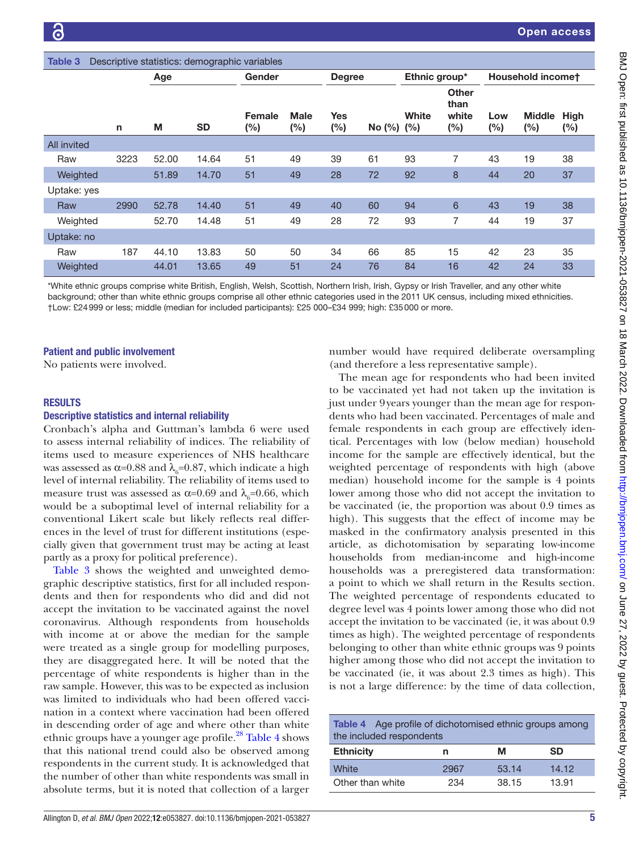<span id="page-4-0"></span>

| <b>Table 3</b><br>Descriptive statistics: demographic variables |      |       |                         |                  |                    |                   |                  |                   |                                         |                |                      |                    |
|-----------------------------------------------------------------|------|-------|-------------------------|------------------|--------------------|-------------------|------------------|-------------------|-----------------------------------------|----------------|----------------------|--------------------|
|                                                                 | Age  |       | Gender<br><b>Degree</b> |                  | Ethnic group*      |                   |                  | Household incomet |                                         |                |                      |                    |
|                                                                 | n    | M     | <b>SD</b>               | Female<br>$(\%)$ | <b>Male</b><br>(%) | <b>Yes</b><br>(%) | No $(\%)$ $(\%)$ | White             | <b>Other</b><br>than<br>white<br>$(\%)$ | Low<br>$(\% )$ | <b>Middle</b><br>(%) | <b>High</b><br>(%) |
| <b>All invited</b>                                              |      |       |                         |                  |                    |                   |                  |                   |                                         |                |                      |                    |
| Raw                                                             | 3223 | 52.00 | 14.64                   | 51               | 49                 | 39                | 61               | 93                | 7                                       | 43             | 19                   | 38                 |
| Weighted                                                        |      | 51.89 | 14.70                   | 51               | 49                 | 28                | 72               | 92                | 8                                       | 44             | 20                   | 37                 |
| Uptake: yes                                                     |      |       |                         |                  |                    |                   |                  |                   |                                         |                |                      |                    |
| Raw                                                             | 2990 | 52.78 | 14.40                   | 51               | 49                 | 40                | 60               | 94                | 6                                       | 43             | 19                   | 38                 |
| Weighted                                                        |      | 52.70 | 14.48                   | 51               | 49                 | 28                | 72               | 93                | 7                                       | 44             | 19                   | 37                 |
| Uptake: no                                                      |      |       |                         |                  |                    |                   |                  |                   |                                         |                |                      |                    |
| Raw                                                             | 187  | 44.10 | 13.83                   | 50               | 50                 | 34                | 66               | 85                | 15                                      | 42             | 23                   | 35                 |
| Weighted                                                        |      | 44.01 | 13.65                   | 49               | 51                 | 24                | 76               | 84                | 16                                      | 42             | 24                   | 33                 |

\*White ethnic groups comprise white British, English, Welsh, Scottish, Northern Irish, Irish, Gypsy or Irish Traveller, and any other white background; other than white ethnic groups comprise all other ethnic categories used in the 2011 UK census, including mixed ethnicities. †Low: £24999 or less; middle (median for included participants): £25 000–£34 999; high: £35000 or more.

#### Patient and public involvement

No patients were involved.

#### **RESULTS**

#### Descriptive statistics and internal reliability

Cronbach's alpha and Guttman's lambda 6 were used to assess internal reliability of indices. The reliability of items used to measure experiences of NHS healthcare was assessed as α=0.88 and  $\lambda$ <sub>6</sub>=0.87, which indicate a high level of internal reliability. The reliability of items used to measure trust was assessed as  $\alpha$ =0.69 and  $\lambda$ <sub>6</sub>=0.66, which would be a suboptimal level of internal reliability for a conventional Likert scale but likely reflects real differences in the level of trust for different institutions (especially given that government trust may be acting at least partly as a proxy for political preference).

[Table](#page-4-0) 3 shows the weighted and unweighted demographic descriptive statistics, first for all included respondents and then for respondents who did and did not accept the invitation to be vaccinated against the novel coronavirus. Although respondents from households with income at or above the median for the sample were treated as a single group for modelling purposes, they are disaggregated here. It will be noted that the percentage of white respondents is higher than in the raw sample. However, this was to be expected as inclusion was limited to individuals who had been offered vaccination in a context where vaccination had been offered in descending order of age and where other than white ethnic groups have a younger age profile.<sup>[28](#page-9-12)</sup> [Table](#page-4-1) 4 shows that this national trend could also be observed among respondents in the current study. It is acknowledged that the number of other than white respondents was small in absolute terms, but it is noted that collection of a larger

number would have required deliberate oversampling (and therefore a less representative sample).

The mean age for respondents who had been invited to be vaccinated yet had not taken up the invitation is just under 9years younger than the mean age for respondents who had been vaccinated. Percentages of male and female respondents in each group are effectively identical. Percentages with low (below median) household income for the sample are effectively identical, but the weighted percentage of respondents with high (above median) household income for the sample is 4 points lower among those who did not accept the invitation to be vaccinated (ie, the proportion was about 0.9 times as high). This suggests that the effect of income may be masked in the confirmatory analysis presented in this article, as dichotomisation by separating low-income households from median-income and high-income households was a preregistered data transformation: a point to which we shall return in the Results section. The weighted percentage of respondents educated to degree level was 4 points lower among those who did not accept the invitation to be vaccinated (ie, it was about 0.9 times as high). The weighted percentage of respondents belonging to other than white ethnic groups was 9 points higher among those who did not accept the invitation to be vaccinated (ie, it was about 2.3 times as high). This is not a large difference: by the time of data collection,

<span id="page-4-1"></span>

| <b>Table 4</b> Age profile of dichotomised ethnic groups among<br>the included respondents |      |       |           |  |  |  |  |
|--------------------------------------------------------------------------------------------|------|-------|-----------|--|--|--|--|
| <b>Ethnicity</b>                                                                           | n    | м     | <b>SD</b> |  |  |  |  |
| White                                                                                      | 2967 | 53.14 | 14.12     |  |  |  |  |
| Other than white                                                                           | 234  | 38.15 | 13.91     |  |  |  |  |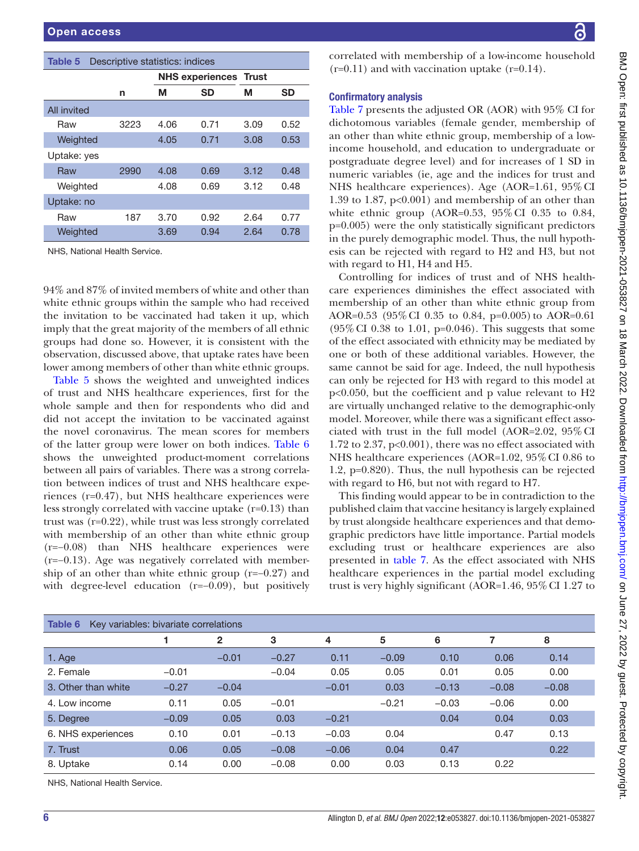<span id="page-5-0"></span>

| <b>Table 5</b> Descriptive statistics: indices |
|------------------------------------------------|
|                                                |

|                               |      |      | <b>NHS experiences Trust</b> |      |           |  |  |  |
|-------------------------------|------|------|------------------------------|------|-----------|--|--|--|
|                               | n    | М    | <b>SD</b>                    | м    | <b>SD</b> |  |  |  |
| All invited                   |      |      |                              |      |           |  |  |  |
| Raw                           | 3223 | 4.06 | 0.71                         | 3.09 | 0.52      |  |  |  |
| Weighted                      |      | 4.05 | 0.71                         | 3.08 | 0.53      |  |  |  |
| Uptake: yes                   |      |      |                              |      |           |  |  |  |
| Raw                           | 2990 | 4.08 | 0.69                         | 3.12 | 0.48      |  |  |  |
| Weighted                      |      | 4.08 | 0.69                         | 3.12 | 0.48      |  |  |  |
| Uptake: no                    |      |      |                              |      |           |  |  |  |
| Raw                           | 187  | 3.70 | 0.92                         | 2.64 | 0.77      |  |  |  |
| Weighted                      |      | 3.69 | 0.94                         | 2.64 | 0.78      |  |  |  |
| NHS, National Health Service. |      |      |                              |      |           |  |  |  |

94% and 87% of invited members of white and other than white ethnic groups within the sample who had received the invitation to be vaccinated had taken it up, which imply that the great majority of the members of all ethnic groups had done so. However, it is consistent with the observation, discussed above, that uptake rates have been lower among members of other than white ethnic groups.

[Table](#page-5-0) 5 shows the weighted and unweighted indices of trust and NHS healthcare experiences, first for the whole sample and then for respondents who did and did not accept the invitation to be vaccinated against the novel coronavirus. The mean scores for members of the latter group were lower on both indices. [Table](#page-5-1) 6 shows the unweighted product-moment correlations between all pairs of variables. There was a strong correlation between indices of trust and NHS healthcare experiences (r=0.47), but NHS healthcare experiences were less strongly correlated with vaccine uptake (r=0.13) than trust was (r=0.22), while trust was less strongly correlated with membership of an other than white ethnic group (r=−0.08) than NHS healthcare experiences were (r=−0.13). Age was negatively correlated with membership of an other than white ethnic group (r=−0.27) and with degree-level education (r=−0.09), but positively correlated with membership of a low-income household  $(r=0.11)$  and with vaccination uptake  $(r=0.14)$ .

# Confirmatory analysis

[Table](#page-6-0) 7 presents the adjusted OR (AOR) with 95% CI for dichotomous variables (female gender, membership of an other than white ethnic group, membership of a lowincome household, and education to undergraduate or postgraduate degree level) and for increases of 1 SD in numeric variables (ie, age and the indices for trust and NHS healthcare experiences). Age (AOR=1.61, 95% CI 1.39 to 1.87, p<0.001) and membership of an other than white ethnic group (AOR=0.53, 95%CI 0.35 to 0.84, p=0.005) were the only statistically significant predictors in the purely demographic model. Thus, the null hypothesis can be rejected with regard to H2 and H3, but not with regard to H1, H4 and H5.

Controlling for indices of trust and of NHS healthcare experiences diminishes the effect associated with membership of an other than white ethnic group from AOR=0.53 (95%CI 0.35 to 0.84, p=0.005) to AOR=0.61  $(95\% \text{ CI } 0.38 \text{ to } 1.01, \text{ p=0.046}).$  This suggests that some of the effect associated with ethnicity may be mediated by one or both of these additional variables. However, the same cannot be said for age. Indeed, the null hypothesis can only be rejected for H3 with regard to this model at p<0.050, but the coefficient and p value relevant to H2 are virtually unchanged relative to the demographic-only model. Moreover, while there was a significant effect associated with trust in the full model (AOR=2.02, 95%CI 1.72 to 2.37, p<0.001), there was no effect associated with NHS healthcare experiences (AOR=1.02, 95% CI 0.86 to 1.2, p=0.820). Thus, the null hypothesis can be rejected with regard to H6, but not with regard to H7.

This finding would appear to be in contradiction to the published claim that vaccine hesitancy is largely explained by trust alongside healthcare experiences and that demographic predictors have little importance. Partial models excluding trust or healthcare experiences are also presented in [table](#page-6-0) 7. As the effect associated with NHS healthcare experiences in the partial model excluding trust is very highly significant (AOR=1.46, 95%CI 1.27 to

<span id="page-5-1"></span>

| Key variables: bivariate correlations<br>Table 6 |         |              |         |         |         |         |         |         |
|--------------------------------------------------|---------|--------------|---------|---------|---------|---------|---------|---------|
|                                                  |         | $\mathbf{2}$ | 3       | 4       | 5       | 6       |         | 8       |
| 1. Age                                           |         | $-0.01$      | $-0.27$ | 0.11    | $-0.09$ | 0.10    | 0.06    | 0.14    |
| 2. Female                                        | $-0.01$ |              | $-0.04$ | 0.05    | 0.05    | 0.01    | 0.05    | 0.00    |
| 3. Other than white                              | $-0.27$ | $-0.04$      |         | $-0.01$ | 0.03    | $-0.13$ | $-0.08$ | $-0.08$ |
| 4. Low income                                    | 0.11    | 0.05         | $-0.01$ |         | $-0.21$ | $-0.03$ | $-0.06$ | 0.00    |
| 5. Degree                                        | $-0.09$ | 0.05         | 0.03    | $-0.21$ |         | 0.04    | 0.04    | 0.03    |
| 6. NHS experiences                               | 0.10    | 0.01         | $-0.13$ | $-0.03$ | 0.04    |         | 0.47    | 0.13    |
| 7. Trust                                         | 0.06    | 0.05         | $-0.08$ | $-0.06$ | 0.04    | 0.47    |         | 0.22    |
| 8. Uptake                                        | 0.14    | 0.00         | $-0.08$ | 0.00    | 0.03    | 0.13    | 0.22    |         |
| NIHS National Health Senrice                     |         |              |         |         |         |         |         |         |

NHS, National Health Service.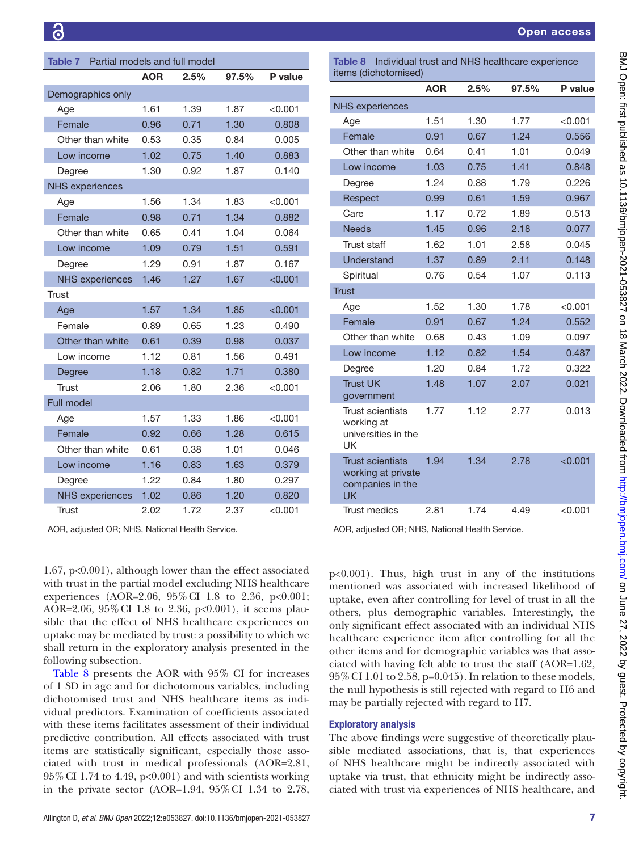<span id="page-6-0"></span>

| Partial models and full model<br>Table 7 |      |      |       |           |  |  |  |  |
|------------------------------------------|------|------|-------|-----------|--|--|--|--|
|                                          | AOR  | 2.5% | 97.5% | P value   |  |  |  |  |
| Demographics only                        |      |      |       |           |  |  |  |  |
| Age                                      | 1.61 | 1.39 | 1.87  | $<$ 0.001 |  |  |  |  |
| Female                                   | 0.96 | 0.71 | 1.30  | 0.808     |  |  |  |  |
| Other than white                         | 0.53 | 0.35 | 0.84  | 0.005     |  |  |  |  |
| Low income                               | 1.02 | 0.75 | 1.40  | 0.883     |  |  |  |  |
| Degree                                   | 1.30 | 0.92 | 1.87  | 0.140     |  |  |  |  |
| <b>NHS experiences</b>                   |      |      |       |           |  |  |  |  |
| Age                                      | 1.56 | 1.34 | 1.83  | < 0.001   |  |  |  |  |
| Female                                   | 0.98 | 0.71 | 1.34  | 0.882     |  |  |  |  |
| Other than white                         | 0.65 | 0.41 | 1.04  | 0.064     |  |  |  |  |
| Low income                               | 1.09 | 0.79 | 1.51  | 0.591     |  |  |  |  |
| Degree                                   | 1.29 | 0.91 | 1.87  | 0.167     |  |  |  |  |
| <b>NHS</b> experiences                   | 1.46 | 1.27 | 1.67  | < 0.001   |  |  |  |  |
| <b>Trust</b>                             |      |      |       |           |  |  |  |  |
| Age                                      | 1.57 | 1.34 | 1.85  | < 0.001   |  |  |  |  |
| Female                                   | 0.89 | 0.65 | 1.23  | 0.490     |  |  |  |  |
| Other than white                         | 0.61 | 0.39 | 0.98  | 0.037     |  |  |  |  |
| Low income                               | 1.12 | 0.81 | 1.56  | 0.491     |  |  |  |  |
| Degree                                   | 1.18 | 0.82 | 1.71  | 0.380     |  |  |  |  |
| Trust                                    | 2.06 | 1.80 | 2.36  | < 0.001   |  |  |  |  |
| <b>Full model</b>                        |      |      |       |           |  |  |  |  |
| Age                                      | 1.57 | 1.33 | 1.86  | < 0.001   |  |  |  |  |
| Female                                   | 0.92 | 0.66 | 1.28  | 0.615     |  |  |  |  |
| Other than white                         | 0.61 | 0.38 | 1.01  | 0.046     |  |  |  |  |
| Low income                               | 1.16 | 0.83 | 1.63  | 0.379     |  |  |  |  |
| Degree                                   | 1.22 | 0.84 | 1.80  | 0.297     |  |  |  |  |
| <b>NHS</b> experiences                   | 1.02 | 0.86 | 1.20  | 0.820     |  |  |  |  |
| Trust                                    | 2.02 | 1.72 | 2.37  | < 0.001   |  |  |  |  |

AOR, adjusted OR; NHS, National Health Service.

1.67, p<0.001), although lower than the effect associated with trust in the partial model excluding NHS healthcare experiences (AOR=2.06, 95%CI 1.8 to 2.36, p<0.001; AOR=2.06, 95% CI 1.8 to 2.36, p<0.001), it seems plausible that the effect of NHS healthcare experiences on uptake may be mediated by trust: a possibility to which we shall return in the exploratory analysis presented in the following subsection.

[Table](#page-6-1) 8 presents the AOR with 95% CI for increases of 1 SD in age and for dichotomous variables, including dichotomised trust and NHS healthcare items as individual predictors. Examination of coefficients associated with these items facilitates assessment of their individual predictive contribution. All effects associated with trust items are statistically significant, especially those associated with trust in medical professionals (AOR=2.81,  $95\%$  CI 1.74 to 4.49, p<0.001) and with scientists working in the private sector (AOR=1.94, 95%CI 1.34 to 2.78,

<span id="page-6-1"></span>Table 8 Individual trust and NHS healthcare experience items (dichotomised)

|                                                                                | <b>AOR</b> | 2.5% | 97.5% | P value |
|--------------------------------------------------------------------------------|------------|------|-------|---------|
| <b>NHS</b> experiences                                                         |            |      |       |         |
| Age                                                                            | 1.51       | 1.30 | 1.77  | < 0.001 |
| Female                                                                         | 0.91       | 0.67 | 1.24  | 0.556   |
| Other than white                                                               | 0.64       | 0.41 | 1.01  | 0.049   |
| Low income                                                                     | 1.03       | 0.75 | 1.41  | 0.848   |
| Degree                                                                         | 1.24       | 0.88 | 1.79  | 0.226   |
| Respect                                                                        | 0.99       | 0.61 | 1.59  | 0.967   |
| Care                                                                           | 1.17       | 0.72 | 1.89  | 0.513   |
| <b>Needs</b>                                                                   | 1.45       | 0.96 | 2.18  | 0.077   |
| <b>Trust staff</b>                                                             | 1.62       | 1.01 | 2.58  | 0.045   |
| <b>Understand</b>                                                              | 1.37       | 0.89 | 2.11  | 0.148   |
| Spiritual                                                                      | 0.76       | 0.54 | 1.07  | 0.113   |
| <b>Trust</b>                                                                   |            |      |       |         |
| Age                                                                            | 1.52       | 1.30 | 1.78  | < 0.001 |
| Female                                                                         | 0.91       | 0.67 | 1.24  | 0.552   |
| Other than white                                                               | 0.68       | 0.43 | 1.09  | 0.097   |
| Low income                                                                     | 1.12       | 0.82 | 1.54  | 0.487   |
| Degree                                                                         | 1.20       | 0.84 | 1.72  | 0.322   |
| <b>Trust UK</b><br>government                                                  | 1.48       | 1.07 | 2.07  | 0.021   |
| <b>Trust scientists</b><br>working at<br>universities in the<br><b>UK</b>      | 1.77       | 1.12 | 2.77  | 0.013   |
| <b>Trust scientists</b><br>working at private<br>companies in the<br><b>UK</b> | 1.94       | 1.34 | 2.78  | < 0.001 |
| <b>Trust medics</b>                                                            | 2.81       | 1.74 | 4.49  | < 0.001 |
|                                                                                |            |      |       |         |

AOR, adjusted OR; NHS, National Health Service.

p<0.001). Thus, high trust in any of the institutions mentioned was associated with increased likelihood of uptake, even after controlling for level of trust in all the others, plus demographic variables. Interestingly, the only significant effect associated with an individual NHS healthcare experience item after controlling for all the other items and for demographic variables was that associated with having felt able to trust the staff (AOR=1.62, 95%CI 1.01 to 2.58, p=0.045). In relation to these models, the null hypothesis is still rejected with regard to H6 and may be partially rejected with regard to H7.

# Exploratory analysis

The above findings were suggestive of theoretically plausible mediated associations, that is, that experiences of NHS healthcare might be indirectly associated with uptake via trust, that ethnicity might be indirectly associated with trust via experiences of NHS healthcare, and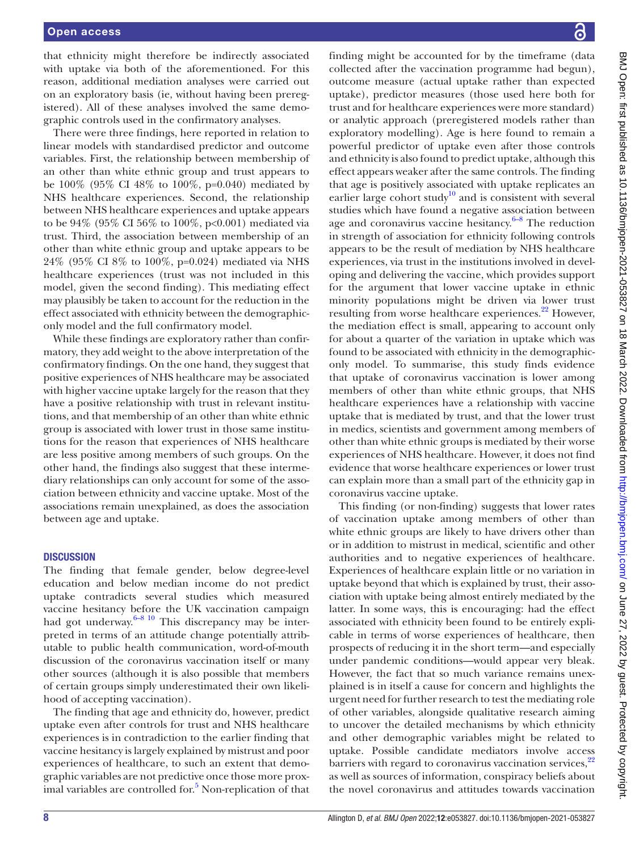#### Open access

that ethnicity might therefore be indirectly associated with uptake via both of the aforementioned. For this reason, additional mediation analyses were carried out on an exploratory basis (ie, without having been preregistered). All of these analyses involved the same demographic controls used in the confirmatory analyses.

There were three findings, here reported in relation to linear models with standardised predictor and outcome variables. First, the relationship between membership of an other than white ethnic group and trust appears to be 100% (95% CI 48% to 100%, p=0.040) mediated by NHS healthcare experiences. Second, the relationship between NHS healthcare experiences and uptake appears to be 94% (95% CI 56% to 100%, p<0.001) mediated via trust. Third, the association between membership of an other than white ethnic group and uptake appears to be 24% (95% CI 8% to 100%, p=0.024) mediated via NHS healthcare experiences (trust was not included in this model, given the second finding). This mediating effect may plausibly be taken to account for the reduction in the effect associated with ethnicity between the demographiconly model and the full confirmatory model.

While these findings are exploratory rather than confirmatory, they add weight to the above interpretation of the confirmatory findings. On the one hand, they suggest that positive experiences of NHS healthcare may be associated with higher vaccine uptake largely for the reason that they have a positive relationship with trust in relevant institutions, and that membership of an other than white ethnic group is associated with lower trust in those same institutions for the reason that experiences of NHS healthcare are less positive among members of such groups. On the other hand, the findings also suggest that these intermediary relationships can only account for some of the association between ethnicity and vaccine uptake. Most of the associations remain unexplained, as does the association between age and uptake.

#### **DISCUSSION**

The finding that female gender, below degree-level education and below median income do not predict uptake contradicts several studies which measured vaccine hesitancy before the UK vaccination campaign had got underway. $6-8$  10 This discrepancy may be interpreted in terms of an attitude change potentially attributable to public health communication, word-of-mouth discussion of the coronavirus vaccination itself or many other sources (although it is also possible that members of certain groups simply underestimated their own likelihood of accepting vaccination).

The finding that age and ethnicity do, however, predict uptake even after controls for trust and NHS healthcare experiences is in contradiction to the earlier finding that vaccine hesitancy is largely explained by mistrust and poor experiences of healthcare, to such an extent that demographic variables are not predictive once those more prox-imal variables are controlled for.<sup>[5](#page-8-3)</sup> Non-replication of that finding might be accounted for by the timeframe (data collected after the vaccination programme had begun), outcome measure (actual uptake rather than expected uptake), predictor measures (those used here both for trust and for healthcare experiences were more standard) or analytic approach (preregistered models rather than exploratory modelling). Age is here found to remain a powerful predictor of uptake even after those controls and ethnicity is also found to predict uptake, although this effect appears weaker after the same controls. The finding that age is positively associated with uptake replicates an earlier large cohort study<sup>10</sup> and is consistent with several studies which have found a negative association between age and coronavirus vaccine hesitancy. $6-8$  The reduction in strength of association for ethnicity following controls appears to be the result of mediation by NHS healthcare experiences, via trust in the institutions involved in developing and delivering the vaccine, which provides support for the argument that lower vaccine uptake in ethnic minority populations might be driven via lower trust resulting from worse healthcare experiences.<sup>[22](#page-9-6)</sup> However, the mediation effect is small, appearing to account only for about a quarter of the variation in uptake which was found to be associated with ethnicity in the demographiconly model. To summarise, this study finds evidence that uptake of coronavirus vaccination is lower among members of other than white ethnic groups, that NHS healthcare experiences have a relationship with vaccine uptake that is mediated by trust, and that the lower trust in medics, scientists and government among members of other than white ethnic groups is mediated by their worse experiences of NHS healthcare. However, it does not find evidence that worse healthcare experiences or lower trust can explain more than a small part of the ethnicity gap in coronavirus vaccine uptake.

This finding (or non-finding) suggests that lower rates of vaccination uptake among members of other than white ethnic groups are likely to have drivers other than or in addition to mistrust in medical, scientific and other authorities and to negative experiences of healthcare. Experiences of healthcare explain little or no variation in uptake beyond that which is explained by trust, their association with uptake being almost entirely mediated by the latter. In some ways, this is encouraging: had the effect associated with ethnicity been found to be entirely explicable in terms of worse experiences of healthcare, then prospects of reducing it in the short term—and especially under pandemic conditions—would appear very bleak. However, the fact that so much variance remains unexplained is in itself a cause for concern and highlights the urgent need for further research to test the mediating role of other variables, alongside qualitative research aiming to uncover the detailed mechanisms by which ethnicity and other demographic variables might be related to uptake. Possible candidate mediators involve access barriers with regard to coronavirus vaccination services,<sup>[22](#page-9-6)</sup> as well as sources of information, conspiracy beliefs about the novel coronavirus and attitudes towards vaccination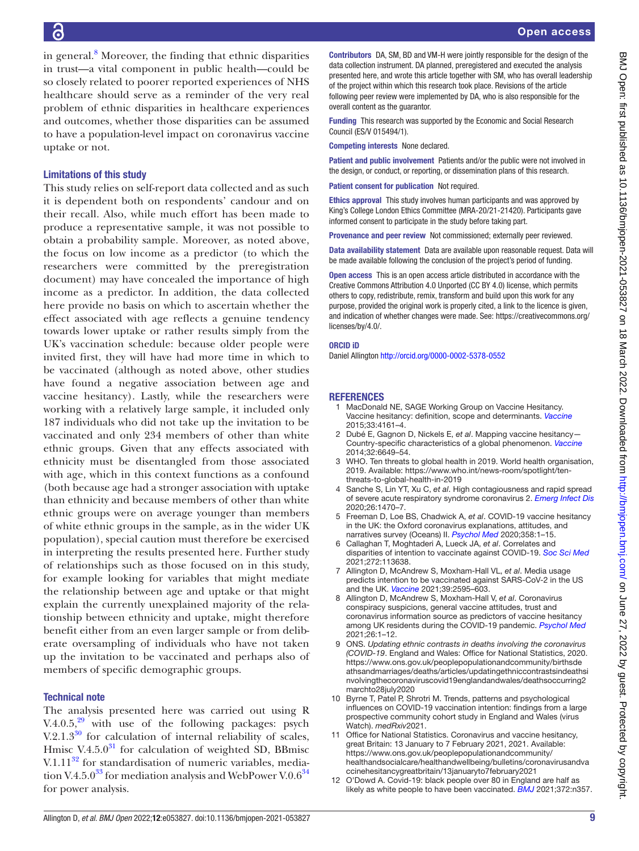in general.<sup>[8](#page-8-9)</sup> Moreover, the finding that ethnic disparities in trust—a vital component in public health—could be so closely related to poorer reported experiences of NHS healthcare should serve as a reminder of the very real problem of ethnic disparities in healthcare experiences and outcomes, whether those disparities can be assumed to have a population-level impact on coronavirus vaccine uptake or not.

#### Limitations of this study

This study relies on self-report data collected and as such it is dependent both on respondents' candour and on their recall. Also, while much effort has been made to produce a representative sample, it was not possible to obtain a probability sample. Moreover, as noted above, the focus on low income as a predictor (to which the researchers were committed by the preregistration document) may have concealed the importance of high income as a predictor. In addition, the data collected here provide no basis on which to ascertain whether the effect associated with age reflects a genuine tendency towards lower uptake or rather results simply from the UK's vaccination schedule: because older people were invited first, they will have had more time in which to be vaccinated (although as noted above, other studies have found a negative association between age and vaccine hesitancy). Lastly, while the researchers were working with a relatively large sample, it included only 187 individuals who did not take up the invitation to be vaccinated and only 234 members of other than white ethnic groups. Given that any effects associated with ethnicity must be disentangled from those associated with age, which in this context functions as a confound (both because age had a stronger association with uptake than ethnicity and because members of other than white ethnic groups were on average younger than members of white ethnic groups in the sample, as in the wider UK population), special caution must therefore be exercised in interpreting the results presented here. Further study of relationships such as those focused on in this study, for example looking for variables that might mediate the relationship between age and uptake or that might explain the currently unexplained majority of the relationship between ethnicity and uptake, might therefore benefit either from an even larger sample or from deliberate oversampling of individuals who have not taken up the invitation to be vaccinated and perhaps also of members of specific demographic groups.

#### Technical note

The analysis presented here was carried out using R V.4.0.5, $29$  with use of the following packages: psych V.2.1.3 $30$  for calculation of internal reliability of scales, Hmisc V.4.5.0 $31$  for calculation of weighted SD, BBmisc V.1.11 $^{32}$  for standardisation of numeric variables, mediation V.4.5.0<sup>33</sup> for mediation analysis and WebPower V.0.6<sup>34</sup> for power analysis.

Contributors DA, SM, BD and VM-H were jointly responsible for the design of the data collection instrument. DA planned, preregistered and executed the analysis presented here, and wrote this article together with SM, who has overall leadership of the project within which this research took place. Revisions of the article following peer review were implemented by DA, who is also responsible for the overall content as the guarantor.

Funding This research was supported by the Economic and Social Research Council (ES/V 015494/1).

Competing interests None declared.

Patient and public involvement Patients and/or the public were not involved in the design, or conduct, or reporting, or dissemination plans of this research.

Patient consent for publication Not required.

Ethics approval This study involves human participants and was approved by King's College London Ethics Committee (MRA-20/21-21420). Participants gave informed consent to participate in the study before taking part.

Provenance and peer review Not commissioned; externally peer reviewed.

Data availability statement Data are available upon reasonable request. Data will be made available following the conclusion of the project's period of funding.

Open access This is an open access article distributed in accordance with the Creative Commons Attribution 4.0 Unported (CC BY 4.0) license, which permits others to copy, redistribute, remix, transform and build upon this work for any purpose, provided the original work is properly cited, a link to the licence is given, and indication of whether changes were made. See: [https://creativecommons.org/](https://creativecommons.org/licenses/by/4.0/) [licenses/by/4.0/](https://creativecommons.org/licenses/by/4.0/).

#### ORCID iD

Daniel Allington <http://orcid.org/0000-0002-5378-0552>

#### <span id="page-8-0"></span>REFERENCES

- 1 MacDonald NE, SAGE Working Group on Vaccine Hesitancy. Vaccine hesitancy: definition, scope and determinants. *[Vaccine](http://dx.doi.org/10.1016/j.vaccine.2015.04.036)* 2015;33:4161–4.
- <span id="page-8-1"></span>2 Dubé E, Gagnon D, Nickels E, *et al*. Mapping vaccine hesitancy— Country-specific characteristics of a global phenomenon. *[Vaccine](http://dx.doi.org/10.1016/j.vaccine.2014.09.039)* 2014;32:6649–54.
- 3 WHO. Ten threats to global health in 2019. World health organisation, 2019. Available: [https://www.who.int/news-room/spotlight/ten](https://www.who.int/news-room/spotlight/ten-threats-to-global-health-in-2019)[threats-to-global-health-in-2019](https://www.who.int/news-room/spotlight/ten-threats-to-global-health-in-2019)
- <span id="page-8-2"></span>4 Sanche S, Lin YT, Xu C, *et al*. High contagiousness and rapid spread of severe acute respiratory syndrome coronavirus 2. *[Emerg Infect Dis](http://dx.doi.org/10.3201/eid2607.200282)* 2020;26:1470–7.
- <span id="page-8-3"></span>5 Freeman D, Loe BS, Chadwick A, *et al*. COVID-19 vaccine hesitancy in the UK: the Oxford coronavirus explanations, attitudes, and narratives survey (Oceans) II. *[Psychol Med](http://dx.doi.org/10.1017/S0033291720005188)* 2020;358:1–15.
- <span id="page-8-4"></span>6 Callaghan T, Moghtaderi A, Lueck JA, *et al*. Correlates and disparities of intention to vaccinate against COVID-19. *[Soc Sci Med](http://dx.doi.org/10.1016/j.socscimed.2020.113638)* 2021;272:113638.
- 7 Allington D, McAndrew S, Moxham-Hall VL, *et al*. Media usage predicts intention to be vaccinated against SARS-CoV-2 in the US and the UK. *[Vaccine](http://dx.doi.org/10.1016/j.vaccine.2021.02.054)* 2021;39:2595–603.
- <span id="page-8-9"></span>8 Allington D, McAndrew S, Moxham-Hall V, *et al*. Coronavirus conspiracy suspicions, general vaccine attitudes, trust and coronavirus information source as predictors of vaccine hesitancy among UK residents during the COVID-19 pandemic. *[Psychol Med](http://dx.doi.org/10.1017/S0033291721001434)* 2021;26:1–12.
- <span id="page-8-5"></span>9 ONS. *Updating ethnic contrasts in deaths involving the coronavirus (COVID-19*. England and Wales: Office for National Statistics, 2020. [https://www.ons.gov.uk/peoplepopulationandcommunity/birthsde](https://www.ons.gov.uk/peoplepopulationandcommunity/birthsdeathsandmarriages/deaths/articles/updatingethniccontrastsindeathsinvolvingthecoronaviruscovid19englandandwales/deathsoccurring2marchto28july2020) [athsandmarriages/deaths/articles/updatingethniccontrastsindeathsi](https://www.ons.gov.uk/peoplepopulationandcommunity/birthsdeathsandmarriages/deaths/articles/updatingethniccontrastsindeathsinvolvingthecoronaviruscovid19englandandwales/deathsoccurring2marchto28july2020) [nvolvingthecoronaviruscovid19englandandwales/deathsoccurring2](https://www.ons.gov.uk/peoplepopulationandcommunity/birthsdeathsandmarriages/deaths/articles/updatingethniccontrastsindeathsinvolvingthecoronaviruscovid19englandandwales/deathsoccurring2marchto28july2020) [marchto28july2020](https://www.ons.gov.uk/peoplepopulationandcommunity/birthsdeathsandmarriages/deaths/articles/updatingethniccontrastsindeathsinvolvingthecoronaviruscovid19englandandwales/deathsoccurring2marchto28july2020)
- <span id="page-8-6"></span>10 Byrne T, Patel P, Shrotri M. Trends, patterns and psychological influences on COVID-19 vaccination intention: findings from a large prospective community cohort study in England and Wales (virus Watch). *medRxiv*2021.
- <span id="page-8-7"></span>11 Office for National Statistics. Coronavirus and vaccine hesitancy, great Britain: 13 January to 7 February 2021, 2021. Available: [https://www.ons.gov.uk/peoplepopulationandcommunity/](https://www.ons.gov.uk/peoplepopulationandcommunity/healthandsocialcare/healthandwellbeing/bulletins/coronavirusandvaccinehesitancygreatbritain/13januaryto7february2021) [healthandsocialcare/healthandwellbeing/bulletins/coronavirusandva](https://www.ons.gov.uk/peoplepopulationandcommunity/healthandsocialcare/healthandwellbeing/bulletins/coronavirusandvaccinehesitancygreatbritain/13januaryto7february2021) [ccinehesitancygreatbritain/13januaryto7february2021](https://www.ons.gov.uk/peoplepopulationandcommunity/healthandsocialcare/healthandwellbeing/bulletins/coronavirusandvaccinehesitancygreatbritain/13januaryto7february2021)
- <span id="page-8-8"></span>12 O'Dowd A. Covid-19: black people over 80 in England are half as likely as white people to have been vaccinated. *[BMJ](http://dx.doi.org/10.1136/bmj.n357)* 2021;372:n357.